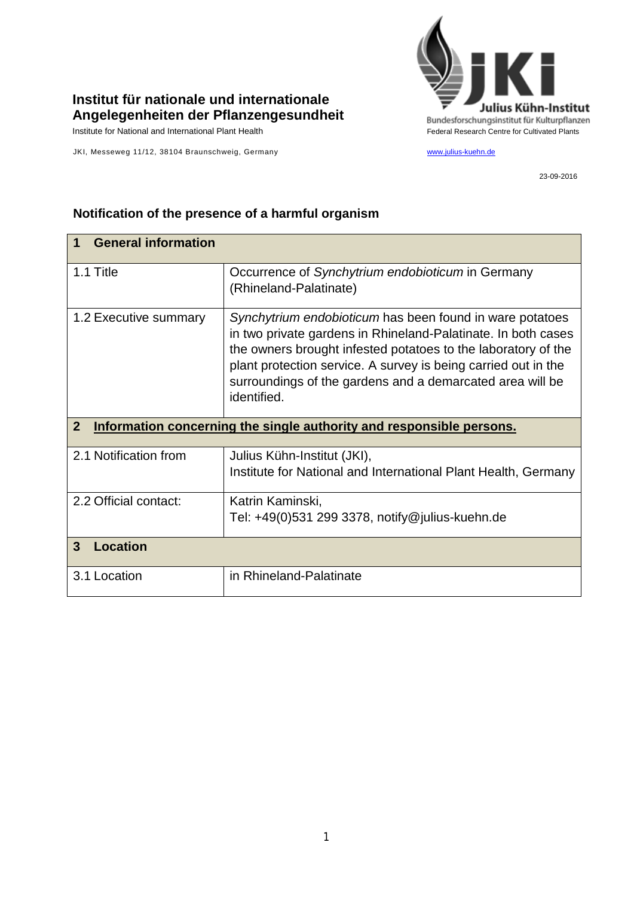

## **Institut für nationale und internationale Angelegenheiten der Pflanzengesundheit**

JKI, Messeweg 11/12, 38104 Braunschweig, Germany [www.julius-kuehn.de](http://www.julius-kuehn.de/)

23-09-2016

| <b>General information</b>                                                             |                                                                                                                                                                                                                                                                                                                                          |
|----------------------------------------------------------------------------------------|------------------------------------------------------------------------------------------------------------------------------------------------------------------------------------------------------------------------------------------------------------------------------------------------------------------------------------------|
| 1.1 Title                                                                              | Occurrence of Synchytrium endobioticum in Germany<br>(Rhineland-Palatinate)                                                                                                                                                                                                                                                              |
| 1.2 Executive summary                                                                  | Synchytrium endobioticum has been found in ware potatoes<br>in two private gardens in Rhineland-Palatinate. In both cases<br>the owners brought infested potatoes to the laboratory of the<br>plant protection service. A survey is being carried out in the<br>surroundings of the gardens and a demarcated area will be<br>identified. |
| $\overline{2}$<br>Information concerning the single authority and responsible persons. |                                                                                                                                                                                                                                                                                                                                          |
|                                                                                        |                                                                                                                                                                                                                                                                                                                                          |
| 2.1 Notification from                                                                  | Julius Kühn-Institut (JKI),<br>Institute for National and International Plant Health, Germany                                                                                                                                                                                                                                            |
| 2.2 Official contact:                                                                  | Katrin Kaminski,<br>Tel: +49(0)531 299 3378, notify@julius-kuehn.de                                                                                                                                                                                                                                                                      |
| 3<br><b>Location</b>                                                                   |                                                                                                                                                                                                                                                                                                                                          |

## **Notification of the presence of a harmful organism**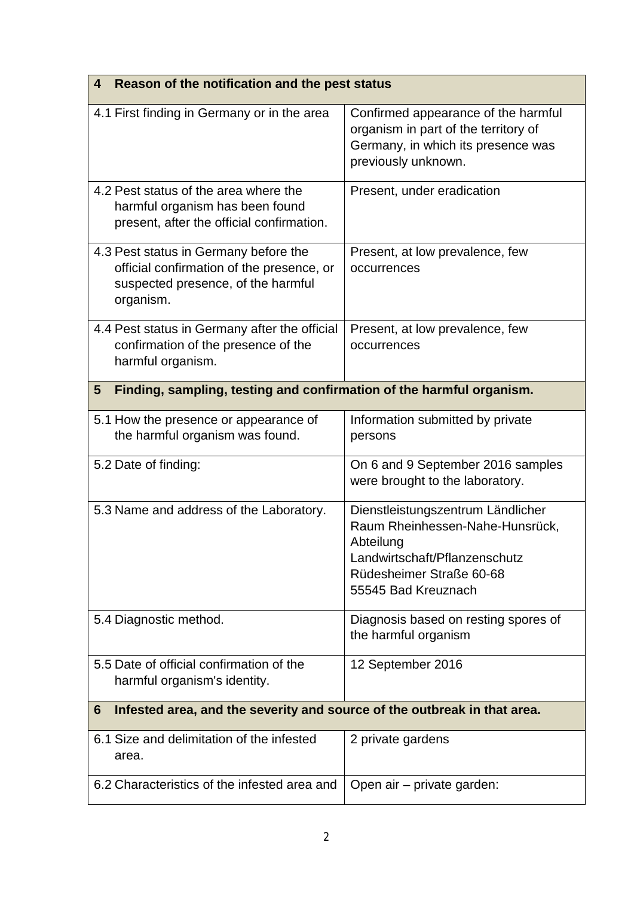| Reason of the notification and the pest status<br>4                                                                                   |                                                                                                                                                                       |  |
|---------------------------------------------------------------------------------------------------------------------------------------|-----------------------------------------------------------------------------------------------------------------------------------------------------------------------|--|
| 4.1 First finding in Germany or in the area                                                                                           | Confirmed appearance of the harmful<br>organism in part of the territory of<br>Germany, in which its presence was<br>previously unknown.                              |  |
| 4.2 Pest status of the area where the<br>harmful organism has been found<br>present, after the official confirmation.                 | Present, under eradication                                                                                                                                            |  |
| 4.3 Pest status in Germany before the<br>official confirmation of the presence, or<br>suspected presence, of the harmful<br>organism. | Present, at low prevalence, few<br>occurrences                                                                                                                        |  |
| 4.4 Pest status in Germany after the official<br>confirmation of the presence of the<br>harmful organism.                             | Present, at low prevalence, few<br>occurrences                                                                                                                        |  |
| Finding, sampling, testing and confirmation of the harmful organism.<br>5                                                             |                                                                                                                                                                       |  |
| 5.1 How the presence or appearance of<br>the harmful organism was found.                                                              | Information submitted by private<br>persons                                                                                                                           |  |
| 5.2 Date of finding:                                                                                                                  | On 6 and 9 September 2016 samples<br>were brought to the laboratory.                                                                                                  |  |
| 5.3 Name and address of the Laboratory.                                                                                               | Dienstleistungszentrum Ländlicher<br>Raum Rheinhessen-Nahe-Hunsrück,<br>Abteilung<br>Landwirtschaft/Pflanzenschutz<br>Rüdesheimer Straße 60-68<br>55545 Bad Kreuznach |  |
| 5.4 Diagnostic method.                                                                                                                | Diagnosis based on resting spores of<br>the harmful organism                                                                                                          |  |
| 5.5 Date of official confirmation of the<br>harmful organism's identity.                                                              | 12 September 2016                                                                                                                                                     |  |
| 6<br>Infested area, and the severity and source of the outbreak in that area.                                                         |                                                                                                                                                                       |  |
| 6.1 Size and delimitation of the infested<br>area.                                                                                    | 2 private gardens                                                                                                                                                     |  |
| 6.2 Characteristics of the infested area and                                                                                          | Open air – private garden:                                                                                                                                            |  |